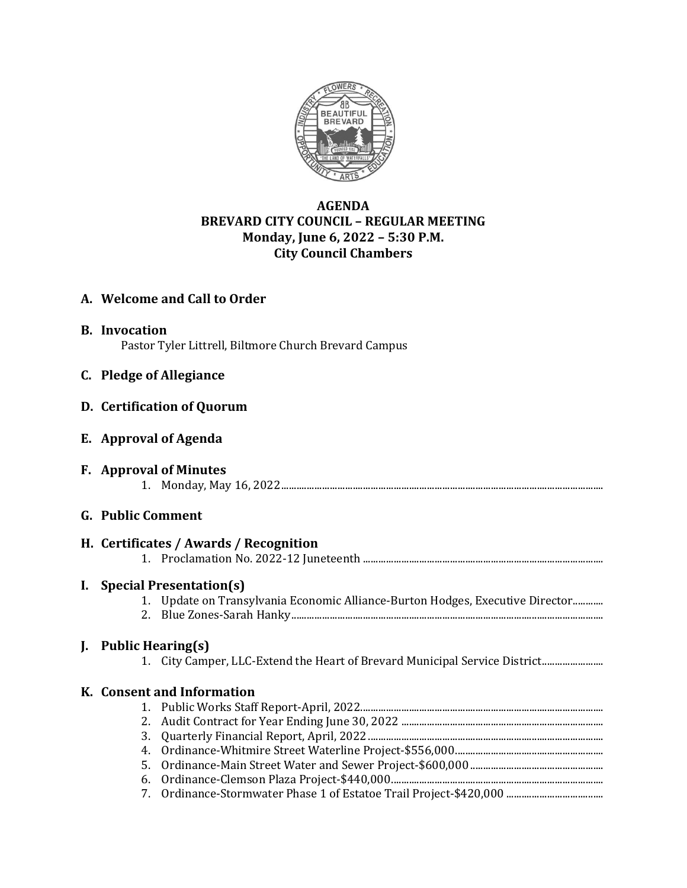

# **AGENDA BREVARD CITY COUNCIL – REGULAR MEETING Monday, June 6, 2022 – 5:30 P.M. City Council Chambers**

# **A. Welcome and Call to Order**

**B. Invocation** Pastor Tyler Littrell, Biltmore Church Brevard Campus

## **C. Pledge of Allegiance**

## **D. Certification of Quorum**

## **E. Approval of Agenda**

**F. Approval of Minutes** 1. Monday, May 16, 2022..............................................................................................................................

## **G. Public Comment**

# **H. Certificates / Awards / Recognition** 1. Proclamation No. 2022-12 Juneteenth .............................................................................................. **I. Special Presentation(s)** 1. Update on Transylvania Economic Alliance-Burton Hodges, Executive Director............ 2. Blue Zones-Sarah Hanky.......................................................................................................................... **J. Public Hearing(s)**

1. City Camper, LLC-Extend the Heart of Brevard Municipal Service District........................

#### **K. Consent and Information** 1. Public Works Staff Report-April, 2022............................................................................................... 2. Audit Contract for Year Ending June 30, 2022 ............................................................................... 3. Quarterly Financial Report, April, 2022............................................................................................ 4. Ordinance-Whitmire Street Waterline Project-\$556,000.......................................................... 5. Ordinance-Main Street Water and Sewer Project-\$600,000 .................................................... 6. Ordinance-Clemson Plaza Project-\$440,000................................................................................... 7. Ordinance-Stormwater Phase 1 of Estatoe Trail Project-\$420,000 ......................................